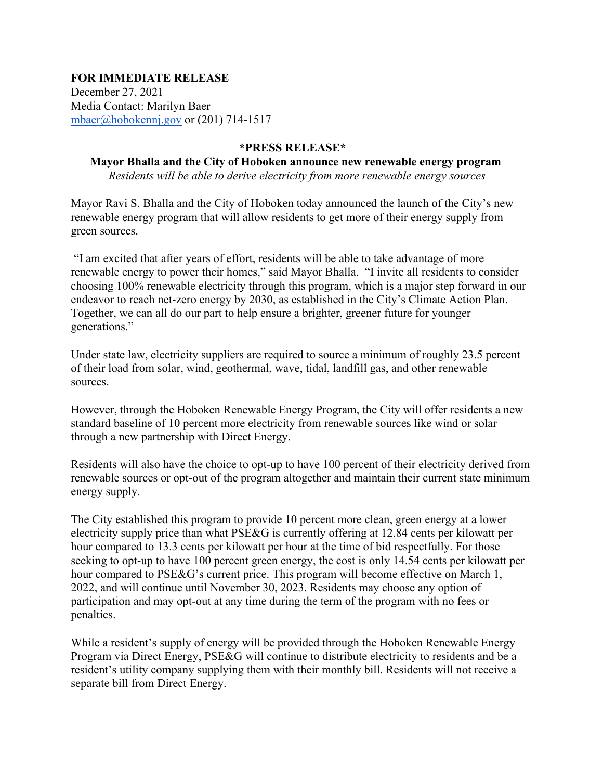## **FOR IMMEDIATE RELEASE**

December 27, 2021 Media Contact: Marilyn Baer [mbaer@hobokennj.gov](mailto:mbaer@hobokennj.gov) or (201) 714-1517

## **\*PRESS RELEASE\***

## **Mayor Bhalla and the City of Hoboken announce new renewable energy program** *Residents will be able to derive electricity from more renewable energy sources*

Mayor Ravi S. Bhalla and the City of Hoboken today announced the launch of the City's new renewable energy program that will allow residents to get more of their energy supply from green sources.

"I am excited that after years of effort, residents will be able to take advantage of more renewable energy to power their homes," said Mayor Bhalla. "I invite all residents to consider choosing 100% renewable electricity through this program, which is a major step forward in our endeavor to reach net-zero energy by 2030, as established in the City's Climate Action Plan. Together, we can all do our part to help ensure a brighter, greener future for younger generations."

Under state law, electricity suppliers are required to source a minimum of roughly 23.5 percent of their load from solar, wind, geothermal, wave, tidal, landfill gas, and other renewable sources.

However, through the Hoboken Renewable Energy Program, the City will offer residents a new standard baseline of 10 percent more electricity from renewable sources like wind or solar through a new partnership with Direct Energy.

Residents will also have the choice to opt-up to have 100 percent of their electricity derived from renewable sources or opt-out of the program altogether and maintain their current state minimum energy supply.

The City established this program to provide 10 percent more clean, green energy at a lower electricity supply price than what PSE&G is currently offering at 12.84 cents per kilowatt per hour compared to 13.3 cents per kilowatt per hour at the time of bid respectfully. For those seeking to opt-up to have 100 percent green energy, the cost is only 14.54 cents per kilowatt per hour compared to PSE&G's current price. This program will become effective on March 1, 2022, and will continue until November 30, 2023. Residents may choose any option of participation and may opt-out at any time during the term of the program with no fees or penalties.

While a resident's supply of energy will be provided through the Hoboken Renewable Energy Program via Direct Energy, PSE&G will continue to distribute electricity to residents and be a resident's utility company supplying them with their monthly bill. Residents will not receive a separate bill from Direct Energy.